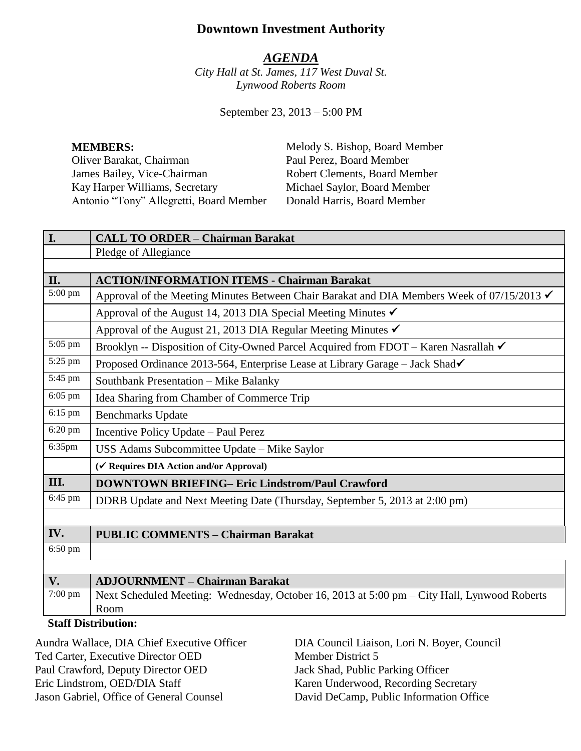# **Downtown Investment Authority**

#### *AGENDA*

*City Hall at St. James, 117 West Duval St. Lynwood Roberts Room*

September 23, 2013 – 5:00 PM

Oliver Barakat, Chairman Paul Perez, Board Member James Bailey, Vice-Chairman Robert Clements, Board Member Kay Harper Williams, Secretary Michael Saylor, Board Member Antonio "Tony" Allegretti, Board Member Donald Harris, Board Member

**MEMBERS:** Melody S. Bishop, Board Member

| I.                         | <b>CALL TO ORDER - Chairman Barakat</b>                                                     |
|----------------------------|---------------------------------------------------------------------------------------------|
|                            | Pledge of Allegiance                                                                        |
|                            |                                                                                             |
| II.                        | <b>ACTION/INFORMATION ITEMS - Chairman Barakat</b>                                          |
| 5:00 pm                    | Approval of the Meeting Minutes Between Chair Barakat and DIA Members Week of 07/15/2013 ✔  |
|                            | Approval of the August 14, 2013 DIA Special Meeting Minutes ✔                               |
|                            | Approval of the August 21, 2013 DIA Regular Meeting Minutes ✔                               |
| 5:05 pm                    | Brooklyn -- Disposition of City-Owned Parcel Acquired from FDOT - Karen Nasrallah ✔         |
| 5:25 pm                    | Proposed Ordinance 2013-564, Enterprise Lease at Library Garage – Jack Shad√                |
| 5:45 pm                    | Southbank Presentation - Mike Balanky                                                       |
| $6:05$ pm                  | Idea Sharing from Chamber of Commerce Trip                                                  |
| 6:15 pm                    | <b>Benchmarks Update</b>                                                                    |
| 6:20 pm                    | Incentive Policy Update - Paul Perez                                                        |
| 6:35pm                     | USS Adams Subcommittee Update - Mike Saylor                                                 |
|                            | (√ Requires DIA Action and/or Approval)                                                     |
| III.                       | <b>DOWNTOWN BRIEFING- Eric Lindstrom/Paul Crawford</b>                                      |
| 6:45 pm                    | DDRB Update and Next Meeting Date (Thursday, September 5, 2013 at 2:00 pm)                  |
|                            |                                                                                             |
| IV.                        | <b>PUBLIC COMMENTS - Chairman Barakat</b>                                                   |
| 6:50 pm                    |                                                                                             |
|                            |                                                                                             |
| V.                         | <b>ADJOURNMENT - Chairman Barakat</b>                                                       |
| 7:00 pm                    | Next Scheduled Meeting: Wednesday, October 16, 2013 at 5:00 pm - City Hall, Lynwood Roberts |
|                            | Room                                                                                        |
| <b>Staff Distribution:</b> |                                                                                             |

Aundra Wallace, DIA Chief Executive Officer Ted Carter, Executive Director OED Paul Crawford, Deputy Director OED Eric Lindstrom, OED/DIA Staff Jason Gabriel, Office of General Counsel

DIA Council Liaison, Lori N. Boyer, Council Member District 5 Jack Shad, Public Parking Officer Karen Underwood, Recording Secretary David DeCamp, Public Information Office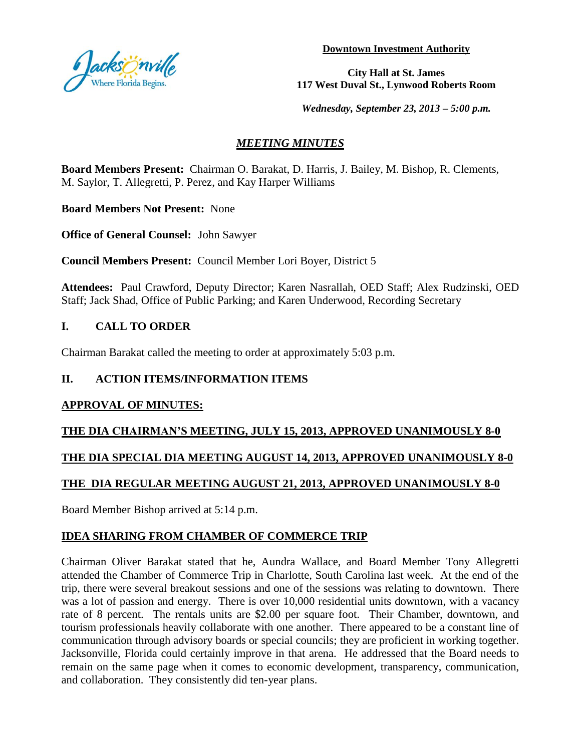

**Downtown Investment Authority**

**City Hall at St. James 117 West Duval St., Lynwood Roberts Room**

*Wednesday, September 23, 2013 – 5:00 p.m.*

# *MEETING MINUTES*

**Board Members Present:** Chairman O. Barakat, D. Harris, J. Bailey, M. Bishop, R. Clements, M. Saylor, T. Allegretti, P. Perez, and Kay Harper Williams

**Board Members Not Present:** None

**Office of General Counsel:** John Sawyer

**Council Members Present:** Council Member Lori Boyer, District 5

**Attendees:** Paul Crawford, Deputy Director; Karen Nasrallah, OED Staff; Alex Rudzinski, OED Staff; Jack Shad, Office of Public Parking; and Karen Underwood, Recording Secretary

## **I. CALL TO ORDER**

Chairman Barakat called the meeting to order at approximately 5:03 p.m.

## **II. ACTION ITEMS/INFORMATION ITEMS**

#### **APPROVAL OF MINUTES:**

## **THE DIA CHAIRMAN'S MEETING, JULY 15, 2013, APPROVED UNANIMOUSLY 8-0**

## **THE DIA SPECIAL DIA MEETING AUGUST 14, 2013, APPROVED UNANIMOUSLY 8-0**

## **THE DIA REGULAR MEETING AUGUST 21, 2013, APPROVED UNANIMOUSLY 8-0**

Board Member Bishop arrived at 5:14 p.m.

## **IDEA SHARING FROM CHAMBER OF COMMERCE TRIP**

Chairman Oliver Barakat stated that he, Aundra Wallace, and Board Member Tony Allegretti attended the Chamber of Commerce Trip in Charlotte, South Carolina last week. At the end of the trip, there were several breakout sessions and one of the sessions was relating to downtown. There was a lot of passion and energy. There is over 10,000 residential units downtown, with a vacancy rate of 8 percent. The rentals units are \$2.00 per square foot. Their Chamber, downtown, and tourism professionals heavily collaborate with one another. There appeared to be a constant line of communication through advisory boards or special councils; they are proficient in working together. Jacksonville, Florida could certainly improve in that arena. He addressed that the Board needs to remain on the same page when it comes to economic development, transparency, communication, and collaboration. They consistently did ten-year plans.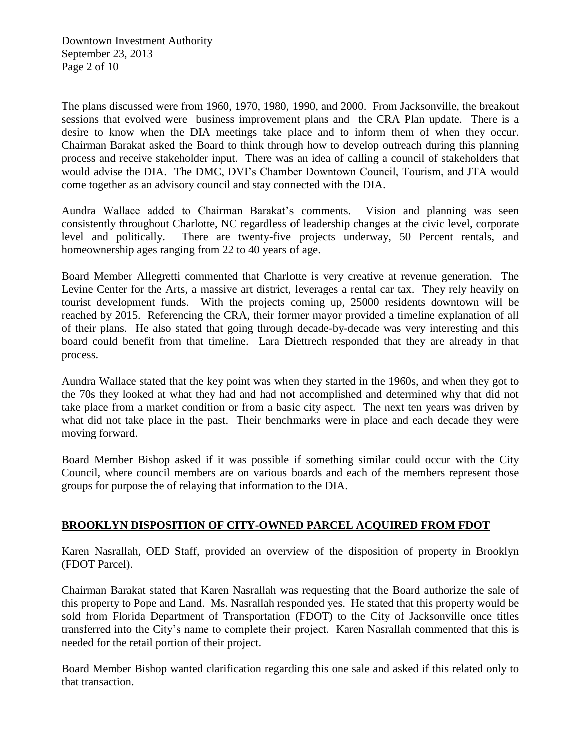The plans discussed were from 1960, 1970, 1980, 1990, and 2000. From Jacksonville, the breakout sessions that evolved were business improvement plans and the CRA Plan update. There is a desire to know when the DIA meetings take place and to inform them of when they occur. Chairman Barakat asked the Board to think through how to develop outreach during this planning process and receive stakeholder input. There was an idea of calling a council of stakeholders that would advise the DIA. The DMC, DVI's Chamber Downtown Council, Tourism, and JTA would come together as an advisory council and stay connected with the DIA.

Aundra Wallace added to Chairman Barakat's comments. Vision and planning was seen consistently throughout Charlotte, NC regardless of leadership changes at the civic level, corporate level and politically. There are twenty-five projects underway, 50 Percent rentals, and homeownership ages ranging from 22 to 40 years of age.

Board Member Allegretti commented that Charlotte is very creative at revenue generation. The Levine Center for the Arts, a massive art district, leverages a rental car tax. They rely heavily on tourist development funds. With the projects coming up, 25000 residents downtown will be reached by 2015. Referencing the CRA, their former mayor provided a timeline explanation of all of their plans. He also stated that going through decade-by-decade was very interesting and this board could benefit from that timeline. Lara Diettrech responded that they are already in that process.

Aundra Wallace stated that the key point was when they started in the 1960s, and when they got to the 70s they looked at what they had and had not accomplished and determined why that did not take place from a market condition or from a basic city aspect. The next ten years was driven by what did not take place in the past. Their benchmarks were in place and each decade they were moving forward.

Board Member Bishop asked if it was possible if something similar could occur with the City Council, where council members are on various boards and each of the members represent those groups for purpose the of relaying that information to the DIA.

# **BROOKLYN DISPOSITION OF CITY-OWNED PARCEL ACQUIRED FROM FDOT**

Karen Nasrallah, OED Staff, provided an overview of the disposition of property in Brooklyn (FDOT Parcel).

Chairman Barakat stated that Karen Nasrallah was requesting that the Board authorize the sale of this property to Pope and Land. Ms. Nasrallah responded yes. He stated that this property would be sold from Florida Department of Transportation (FDOT) to the City of Jacksonville once titles transferred into the City's name to complete their project. Karen Nasrallah commented that this is needed for the retail portion of their project.

Board Member Bishop wanted clarification regarding this one sale and asked if this related only to that transaction.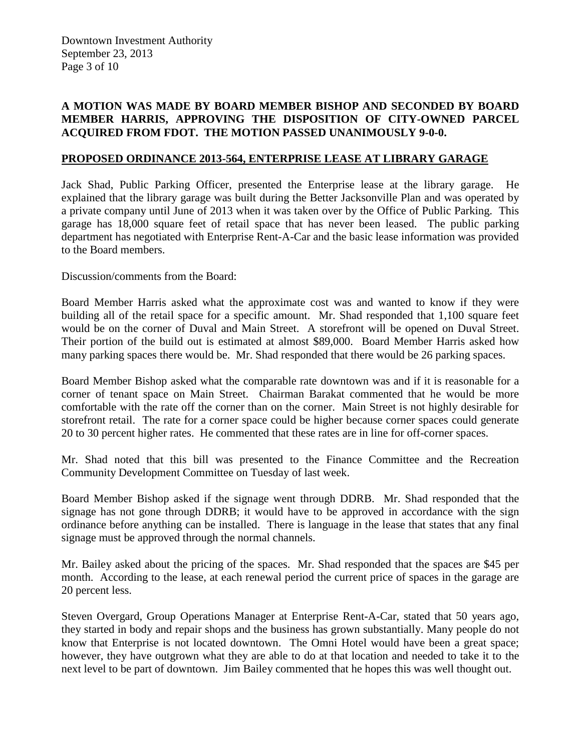Downtown Investment Authority September 23, 2013 Page 3 of 10

#### **A MOTION WAS MADE BY BOARD MEMBER BISHOP AND SECONDED BY BOARD MEMBER HARRIS, APPROVING THE DISPOSITION OF CITY-OWNED PARCEL ACQUIRED FROM FDOT. THE MOTION PASSED UNANIMOUSLY 9-0-0.**

#### **PROPOSED ORDINANCE 2013-564, ENTERPRISE LEASE AT LIBRARY GARAGE**

Jack Shad, Public Parking Officer, presented the Enterprise lease at the library garage. He explained that the library garage was built during the Better Jacksonville Plan and was operated by a private company until June of 2013 when it was taken over by the Office of Public Parking. This garage has 18,000 square feet of retail space that has never been leased. The public parking department has negotiated with Enterprise Rent-A-Car and the basic lease information was provided to the Board members.

Discussion/comments from the Board:

Board Member Harris asked what the approximate cost was and wanted to know if they were building all of the retail space for a specific amount. Mr. Shad responded that 1,100 square feet would be on the corner of Duval and Main Street. A storefront will be opened on Duval Street. Their portion of the build out is estimated at almost \$89,000. Board Member Harris asked how many parking spaces there would be. Mr. Shad responded that there would be 26 parking spaces.

Board Member Bishop asked what the comparable rate downtown was and if it is reasonable for a corner of tenant space on Main Street. Chairman Barakat commented that he would be more comfortable with the rate off the corner than on the corner. Main Street is not highly desirable for storefront retail. The rate for a corner space could be higher because corner spaces could generate 20 to 30 percent higher rates. He commented that these rates are in line for off-corner spaces.

Mr. Shad noted that this bill was presented to the Finance Committee and the Recreation Community Development Committee on Tuesday of last week.

Board Member Bishop asked if the signage went through DDRB. Mr. Shad responded that the signage has not gone through DDRB; it would have to be approved in accordance with the sign ordinance before anything can be installed. There is language in the lease that states that any final signage must be approved through the normal channels.

Mr. Bailey asked about the pricing of the spaces. Mr. Shad responded that the spaces are \$45 per month. According to the lease, at each renewal period the current price of spaces in the garage are 20 percent less.

Steven Overgard, Group Operations Manager at Enterprise Rent-A-Car, stated that 50 years ago, they started in body and repair shops and the business has grown substantially. Many people do not know that Enterprise is not located downtown. The Omni Hotel would have been a great space; however, they have outgrown what they are able to do at that location and needed to take it to the next level to be part of downtown. Jim Bailey commented that he hopes this was well thought out.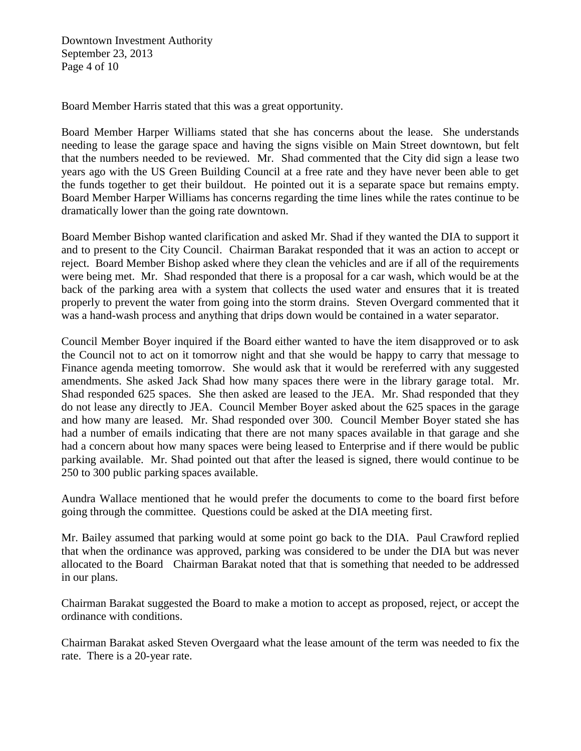Downtown Investment Authority September 23, 2013 Page 4 of 10

Board Member Harris stated that this was a great opportunity.

Board Member Harper Williams stated that she has concerns about the lease. She understands needing to lease the garage space and having the signs visible on Main Street downtown, but felt that the numbers needed to be reviewed. Mr. Shad commented that the City did sign a lease two years ago with the US Green Building Council at a free rate and they have never been able to get the funds together to get their buildout. He pointed out it is a separate space but remains empty. Board Member Harper Williams has concerns regarding the time lines while the rates continue to be dramatically lower than the going rate downtown.

Board Member Bishop wanted clarification and asked Mr. Shad if they wanted the DIA to support it and to present to the City Council. Chairman Barakat responded that it was an action to accept or reject. Board Member Bishop asked where they clean the vehicles and are if all of the requirements were being met. Mr. Shad responded that there is a proposal for a car wash, which would be at the back of the parking area with a system that collects the used water and ensures that it is treated properly to prevent the water from going into the storm drains. Steven Overgard commented that it was a hand-wash process and anything that drips down would be contained in a water separator.

Council Member Boyer inquired if the Board either wanted to have the item disapproved or to ask the Council not to act on it tomorrow night and that she would be happy to carry that message to Finance agenda meeting tomorrow. She would ask that it would be rereferred with any suggested amendments. She asked Jack Shad how many spaces there were in the library garage total. Mr. Shad responded 625 spaces. She then asked are leased to the JEA. Mr. Shad responded that they do not lease any directly to JEA. Council Member Boyer asked about the 625 spaces in the garage and how many are leased. Mr. Shad responded over 300. Council Member Boyer stated she has had a number of emails indicating that there are not many spaces available in that garage and she had a concern about how many spaces were being leased to Enterprise and if there would be public parking available. Mr. Shad pointed out that after the leased is signed, there would continue to be 250 to 300 public parking spaces available.

Aundra Wallace mentioned that he would prefer the documents to come to the board first before going through the committee. Questions could be asked at the DIA meeting first.

Mr. Bailey assumed that parking would at some point go back to the DIA. Paul Crawford replied that when the ordinance was approved, parking was considered to be under the DIA but was never allocated to the Board Chairman Barakat noted that that is something that needed to be addressed in our plans.

Chairman Barakat suggested the Board to make a motion to accept as proposed, reject, or accept the ordinance with conditions.

Chairman Barakat asked Steven Overgaard what the lease amount of the term was needed to fix the rate. There is a 20-year rate.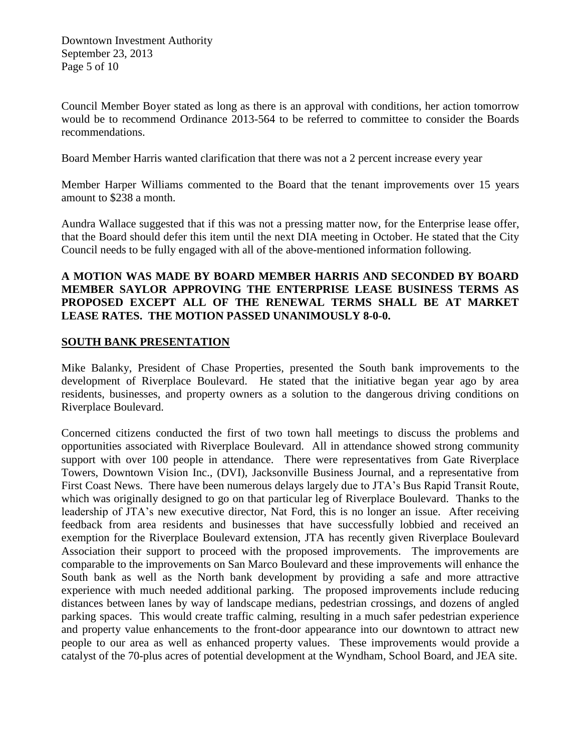Council Member Boyer stated as long as there is an approval with conditions, her action tomorrow would be to recommend Ordinance 2013-564 to be referred to committee to consider the Boards recommendations.

Board Member Harris wanted clarification that there was not a 2 percent increase every year

Member Harper Williams commented to the Board that the tenant improvements over 15 years amount to \$238 a month.

Aundra Wallace suggested that if this was not a pressing matter now, for the Enterprise lease offer, that the Board should defer this item until the next DIA meeting in October. He stated that the City Council needs to be fully engaged with all of the above-mentioned information following.

#### **A MOTION WAS MADE BY BOARD MEMBER HARRIS AND SECONDED BY BOARD MEMBER SAYLOR APPROVING THE ENTERPRISE LEASE BUSINESS TERMS AS PROPOSED EXCEPT ALL OF THE RENEWAL TERMS SHALL BE AT MARKET LEASE RATES. THE MOTION PASSED UNANIMOUSLY 8-0-0.**

## **SOUTH BANK PRESENTATION**

Mike Balanky, President of Chase Properties, presented the South bank improvements to the development of Riverplace Boulevard. He stated that the initiative began year ago by area residents, businesses, and property owners as a solution to the dangerous driving conditions on Riverplace Boulevard.

Concerned citizens conducted the first of two town hall meetings to discuss the problems and opportunities associated with Riverplace Boulevard. All in attendance showed strong community support with over 100 people in attendance. There were representatives from Gate Riverplace Towers, Downtown Vision Inc., (DVI), Jacksonville Business Journal, and a representative from First Coast News. There have been numerous delays largely due to JTA's Bus Rapid Transit Route, which was originally designed to go on that particular leg of Riverplace Boulevard. Thanks to the leadership of JTA's new executive director, Nat Ford, this is no longer an issue. After receiving feedback from area residents and businesses that have successfully lobbied and received an exemption for the Riverplace Boulevard extension, JTA has recently given Riverplace Boulevard Association their support to proceed with the proposed improvements. The improvements are comparable to the improvements on San Marco Boulevard and these improvements will enhance the South bank as well as the North bank development by providing a safe and more attractive experience with much needed additional parking. The proposed improvements include reducing distances between lanes by way of landscape medians, pedestrian crossings, and dozens of angled parking spaces. This would create traffic calming, resulting in a much safer pedestrian experience and property value enhancements to the front-door appearance into our downtown to attract new people to our area as well as enhanced property values. These improvements would provide a catalyst of the 70-plus acres of potential development at the Wyndham, School Board, and JEA site.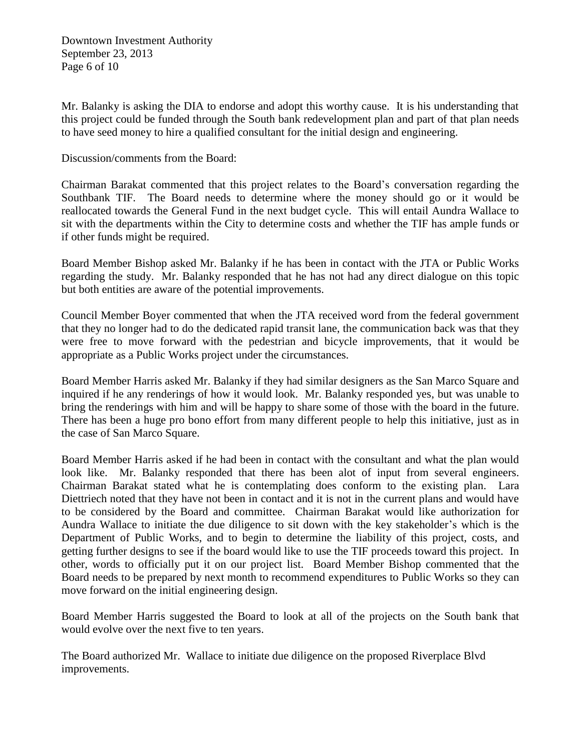Downtown Investment Authority September 23, 2013 Page 6 of 10

Mr. Balanky is asking the DIA to endorse and adopt this worthy cause. It is his understanding that this project could be funded through the South bank redevelopment plan and part of that plan needs to have seed money to hire a qualified consultant for the initial design and engineering.

Discussion/comments from the Board:

Chairman Barakat commented that this project relates to the Board's conversation regarding the Southbank TIF. The Board needs to determine where the money should go or it would be reallocated towards the General Fund in the next budget cycle. This will entail Aundra Wallace to sit with the departments within the City to determine costs and whether the TIF has ample funds or if other funds might be required.

Board Member Bishop asked Mr. Balanky if he has been in contact with the JTA or Public Works regarding the study. Mr. Balanky responded that he has not had any direct dialogue on this topic but both entities are aware of the potential improvements.

Council Member Boyer commented that when the JTA received word from the federal government that they no longer had to do the dedicated rapid transit lane, the communication back was that they were free to move forward with the pedestrian and bicycle improvements, that it would be appropriate as a Public Works project under the circumstances.

Board Member Harris asked Mr. Balanky if they had similar designers as the San Marco Square and inquired if he any renderings of how it would look. Mr. Balanky responded yes, but was unable to bring the renderings with him and will be happy to share some of those with the board in the future. There has been a huge pro bono effort from many different people to help this initiative, just as in the case of San Marco Square.

Board Member Harris asked if he had been in contact with the consultant and what the plan would look like. Mr. Balanky responded that there has been alot of input from several engineers. Chairman Barakat stated what he is contemplating does conform to the existing plan. Lara Diettriech noted that they have not been in contact and it is not in the current plans and would have to be considered by the Board and committee. Chairman Barakat would like authorization for Aundra Wallace to initiate the due diligence to sit down with the key stakeholder's which is the Department of Public Works, and to begin to determine the liability of this project, costs, and getting further designs to see if the board would like to use the TIF proceeds toward this project. In other, words to officially put it on our project list. Board Member Bishop commented that the Board needs to be prepared by next month to recommend expenditures to Public Works so they can move forward on the initial engineering design.

Board Member Harris suggested the Board to look at all of the projects on the South bank that would evolve over the next five to ten years.

The Board authorized Mr. Wallace to initiate due diligence on the proposed Riverplace Blvd improvements.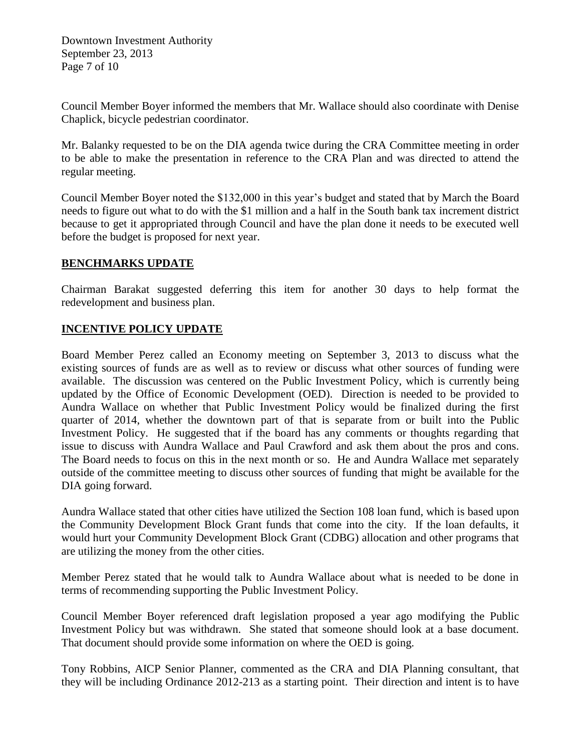Downtown Investment Authority September 23, 2013 Page 7 of 10

Council Member Boyer informed the members that Mr. Wallace should also coordinate with Denise Chaplick, bicycle pedestrian coordinator.

Mr. Balanky requested to be on the DIA agenda twice during the CRA Committee meeting in order to be able to make the presentation in reference to the CRA Plan and was directed to attend the regular meeting.

Council Member Boyer noted the \$132,000 in this year's budget and stated that by March the Board needs to figure out what to do with the \$1 million and a half in the South bank tax increment district because to get it appropriated through Council and have the plan done it needs to be executed well before the budget is proposed for next year.

#### **BENCHMARKS UPDATE**

Chairman Barakat suggested deferring this item for another 30 days to help format the redevelopment and business plan.

## **INCENTIVE POLICY UPDATE**

Board Member Perez called an Economy meeting on September 3, 2013 to discuss what the existing sources of funds are as well as to review or discuss what other sources of funding were available. The discussion was centered on the Public Investment Policy, which is currently being updated by the Office of Economic Development (OED). Direction is needed to be provided to Aundra Wallace on whether that Public Investment Policy would be finalized during the first quarter of 2014, whether the downtown part of that is separate from or built into the Public Investment Policy. He suggested that if the board has any comments or thoughts regarding that issue to discuss with Aundra Wallace and Paul Crawford and ask them about the pros and cons. The Board needs to focus on this in the next month or so. He and Aundra Wallace met separately outside of the committee meeting to discuss other sources of funding that might be available for the DIA going forward.

Aundra Wallace stated that other cities have utilized the Section 108 loan fund, which is based upon the Community Development Block Grant funds that come into the city. If the loan defaults, it would hurt your Community Development Block Grant (CDBG) allocation and other programs that are utilizing the money from the other cities.

Member Perez stated that he would talk to Aundra Wallace about what is needed to be done in terms of recommending supporting the Public Investment Policy.

Council Member Boyer referenced draft legislation proposed a year ago modifying the Public Investment Policy but was withdrawn. She stated that someone should look at a base document. That document should provide some information on where the OED is going.

Tony Robbins, AICP Senior Planner, commented as the CRA and DIA Planning consultant, that they will be including Ordinance 2012-213 as a starting point. Their direction and intent is to have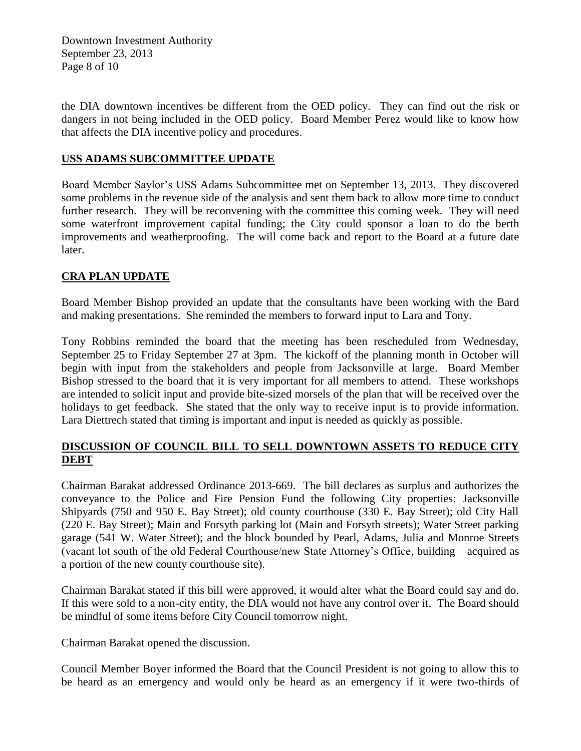Downtown Investment Authority September 23, 2013 Page 8 of 10

the DIA downtown incentives be different from the OED policy. They can find out the risk or dangers in not being included in the OED policy. Board Member Perez would like to know how that affects the DIA incentive policy and procedures.

#### **USS ADAMS SUBCOMMITTEE UPDATE**

Board Member Saylor's USS Adams Subcommittee met on September 13, 2013. They discovered some problems in the revenue side of the analysis and sent them back to allow more time to conduct further research. They will be reconvening with the committee this coming week. They will need some waterfront improvement capital funding; the City could sponsor a loan to do the berth improvements and weatherproofing. The will come back and report to the Board at a future date later.

## **CRA PLAN UPDATE**

Board Member Bishop provided an update that the consultants have been working with the Bard and making presentations. She reminded the members to forward input to Lara and Tony.

Tony Robbins reminded the board that the meeting has been rescheduled from Wednesday, September 25 to Friday September 27 at 3pm. The kickoff of the planning month in October will begin with input from the stakeholders and people from Jacksonville at large. Board Member Bishop stressed to the board that it is very important for all members to attend. These workshops are intended to solicit input and provide bite-sized morsels of the plan that will be received over the holidays to get feedback. She stated that the only way to receive input is to provide information. Lara Diettrech stated that timing is important and input is needed as quickly as possible.

## **DISCUSSION OF COUNCIL BILL TO SELL DOWNTOWN ASSETS TO REDUCE CITY DEBT**

Chairman Barakat addressed Ordinance 2013-669. The bill declares as surplus and authorizes the conveyance to the Police and Fire Pension Fund the following City properties: Jacksonville Shipyards (750 and 950 E. Bay Street); old county courthouse (330 E. Bay Street); old City Hall (220 E. Bay Street); Main and Forsyth parking lot (Main and Forsyth streets); Water Street parking garage (541 W. Water Street); and the block bounded by Pearl, Adams, Julia and Monroe Streets (vacant lot south of the old Federal Courthouse/new State Attorney's Office, building – acquired as a portion of the new county courthouse site).

Chairman Barakat stated if this bill were approved, it would alter what the Board could say and do. If this were sold to a non-city entity, the DIA would not have any control over it. The Board should be mindful of some items before City Council tomorrow night.

Chairman Barakat opened the discussion.

Council Member Boyer informed the Board that the Council President is not going to allow this to be heard as an emergency and would only be heard as an emergency if it were two-thirds of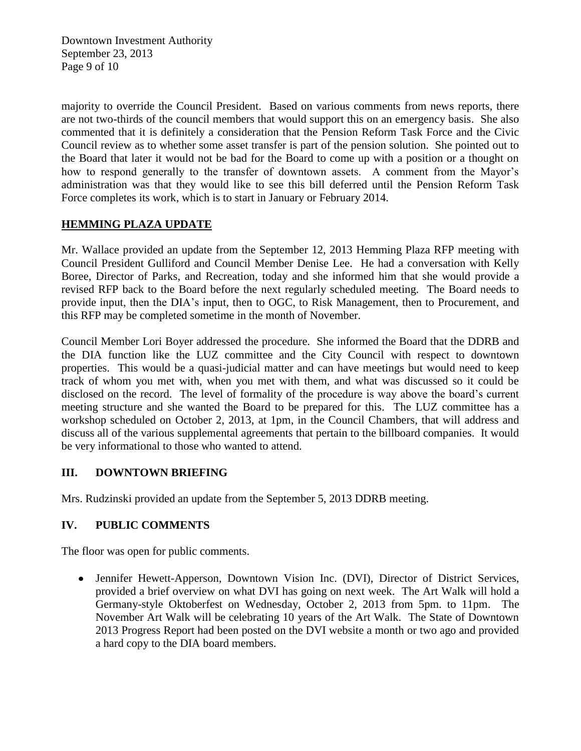Downtown Investment Authority September 23, 2013 Page 9 of 10

majority to override the Council President. Based on various comments from news reports, there are not two-thirds of the council members that would support this on an emergency basis. She also commented that it is definitely a consideration that the Pension Reform Task Force and the Civic Council review as to whether some asset transfer is part of the pension solution. She pointed out to the Board that later it would not be bad for the Board to come up with a position or a thought on how to respond generally to the transfer of downtown assets. A comment from the Mayor's administration was that they would like to see this bill deferred until the Pension Reform Task Force completes its work, which is to start in January or February 2014.

## **HEMMING PLAZA UPDATE**

Mr. Wallace provided an update from the September 12, 2013 Hemming Plaza RFP meeting with Council President Gulliford and Council Member Denise Lee. He had a conversation with Kelly Boree, Director of Parks, and Recreation, today and she informed him that she would provide a revised RFP back to the Board before the next regularly scheduled meeting. The Board needs to provide input, then the DIA's input, then to OGC, to Risk Management, then to Procurement, and this RFP may be completed sometime in the month of November.

Council Member Lori Boyer addressed the procedure. She informed the Board that the DDRB and the DIA function like the LUZ committee and the City Council with respect to downtown properties. This would be a quasi-judicial matter and can have meetings but would need to keep track of whom you met with, when you met with them, and what was discussed so it could be disclosed on the record. The level of formality of the procedure is way above the board's current meeting structure and she wanted the Board to be prepared for this. The LUZ committee has a workshop scheduled on October 2, 2013, at 1pm, in the Council Chambers, that will address and discuss all of the various supplemental agreements that pertain to the billboard companies. It would be very informational to those who wanted to attend.

## **III. DOWNTOWN BRIEFING**

Mrs. Rudzinski provided an update from the September 5, 2013 DDRB meeting.

# **IV. PUBLIC COMMENTS**

The floor was open for public comments.

Jennifer Hewett-Apperson, Downtown Vision Inc. (DVI), Director of District Services, provided a brief overview on what DVI has going on next week. The Art Walk will hold a Germany-style Oktoberfest on Wednesday, October 2, 2013 from 5pm. to 11pm. The November Art Walk will be celebrating 10 years of the Art Walk. The State of Downtown 2013 Progress Report had been posted on the DVI website a month or two ago and provided a hard copy to the DIA board members.